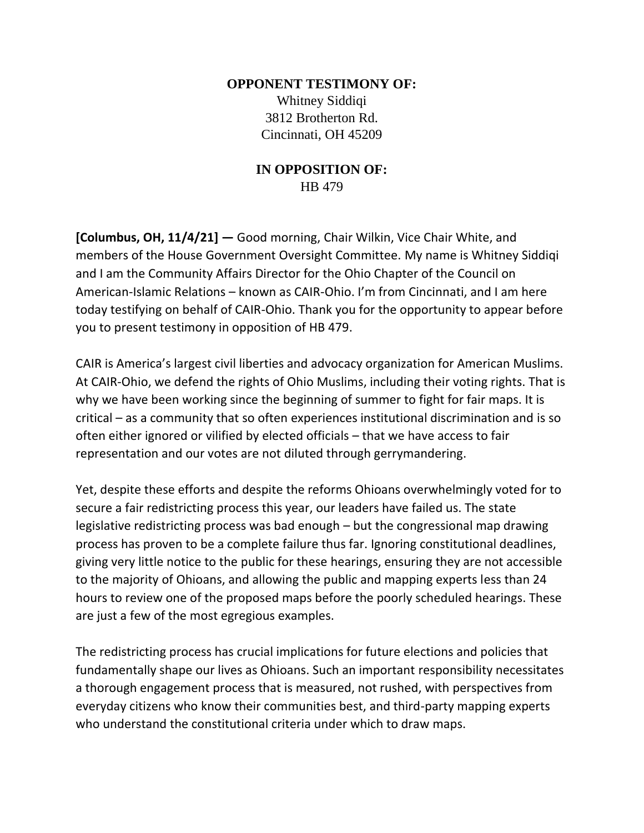## **OPPONENT TESTIMONY OF:** Whitney Siddiqi 3812 Brotherton Rd. Cincinnati, OH 45209

## **IN OPPOSITION OF:** HB 479

**[Columbus, OH, 11/4/21] —** Good morning, Chair Wilkin, Vice Chair White, and members of the House Government Oversight Committee. My name is Whitney Siddiqi and I am the Community Affairs Director for the Ohio Chapter of the Council on American-Islamic Relations – known as CAIR-Ohio. I'm from Cincinnati, and I am here today testifying on behalf of CAIR-Ohio. Thank you for the opportunity to appear before you to present testimony in opposition of HB 479.

CAIR is America's largest civil liberties and advocacy organization for American Muslims. At CAIR-Ohio, we defend the rights of Ohio Muslims, including their voting rights. That is why we have been working since the beginning of summer to fight for fair maps. It is critical – as a community that so often experiences institutional discrimination and is so often either ignored or vilified by elected officials – that we have access to fair representation and our votes are not diluted through gerrymandering.

Yet, despite these efforts and despite the reforms Ohioans overwhelmingly voted for to secure a fair redistricting process this year, our leaders have failed us. The state legislative redistricting process was bad enough – but the congressional map drawing process has proven to be a complete failure thus far. Ignoring constitutional deadlines, giving very little notice to the public for these hearings, ensuring they are not accessible to the majority of Ohioans, and allowing the public and mapping experts less than 24 hours to review one of the proposed maps before the poorly scheduled hearings. These are just a few of the most egregious examples.

The redistricting process has crucial implications for future elections and policies that fundamentally shape our lives as Ohioans. Such an important responsibility necessitates a thorough engagement process that is measured, not rushed, with perspectives from everyday citizens who know their communities best, and third-party mapping experts who understand the constitutional criteria under which to draw maps.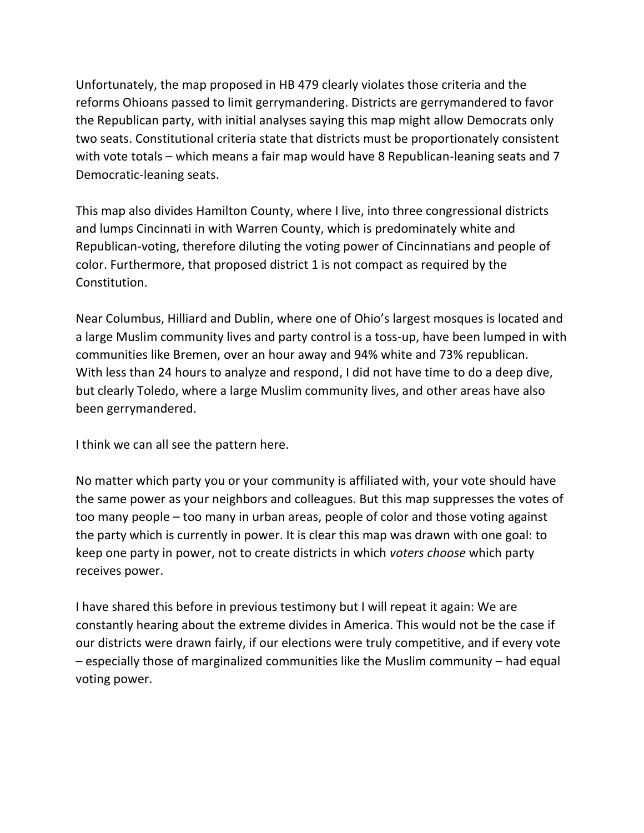Unfortunately, the map proposed in HB 479 clearly violates those criteria and the reforms Ohioans passed to limit gerrymandering. Districts are gerrymandered to favor the Republican party, with initial analyses saying this map might allow Democrats only two seats. Constitutional criteria state that districts must be proportionately consistent with vote totals – which means a fair map would have 8 Republican-leaning seats and 7 Democratic-leaning seats.

This map also divides Hamilton County, where I live, into three congressional districts and lumps Cincinnati in with Warren County, which is predominately white and Republican-voting, therefore diluting the voting power of Cincinnatians and people of color. Furthermore, that proposed district 1 is not compact as required by the Constitution.

Near Columbus, Hilliard and Dublin, where one of Ohio's largest mosques is located and a large Muslim community lives and party control is a toss-up, have been lumped in with communities like Bremen, over an hour away and 94% white and 73% republican. With less than 24 hours to analyze and respond, I did not have time to do a deep dive, but clearly Toledo, where a large Muslim community lives, and other areas have also been gerrymandered.

I think we can all see the pattern here.

No matter which party you or your community is affiliated with, your vote should have the same power as your neighbors and colleagues. But this map suppresses the votes of too many people – too many in urban areas, people of color and those voting against the party which is currently in power. It is clear this map was drawn with one goal: to keep one party in power, not to create districts in which *voters choose* which party receives power.

I have shared this before in previous testimony but I will repeat it again: We are constantly hearing about the extreme divides in America. This would not be the case if our districts were drawn fairly, if our elections were truly competitive, and if every vote – especially those of marginalized communities like the Muslim community – had equal voting power.